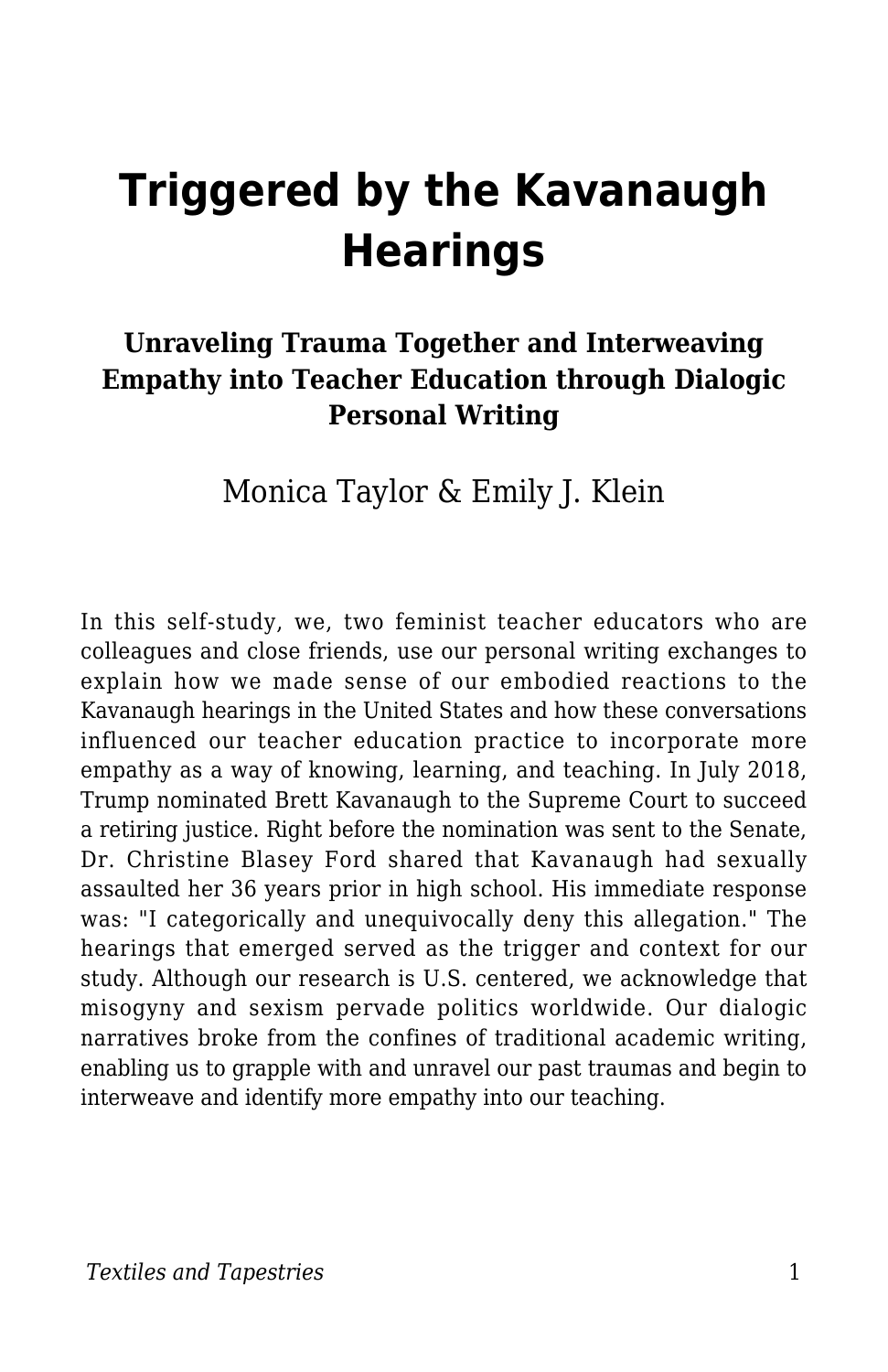# **Triggered by the Kavanaugh Hearings**

#### **Unraveling Trauma Together and Interweaving Empathy into Teacher Education through Dialogic Personal Writing**

Monica Taylor & Emily J. Klein

In this self-study, we, two feminist teacher educators who are colleagues and close friends, use our personal writing exchanges to explain how we made sense of our embodied reactions to the Kavanaugh hearings in the United States and how these conversations influenced our teacher education practice to incorporate more empathy as a way of knowing, learning, and teaching. In July 2018, Trump nominated Brett Kavanaugh to the Supreme Court to succeed a retiring justice. Right before the nomination was sent to the Senate, Dr. Christine Blasey Ford shared that Kavanaugh had sexually assaulted her 36 years prior in high school. His immediate response was: "I categorically and unequivocally deny this allegation." The hearings that emerged served as the trigger and context for our study. Although our research is U.S. centered, we acknowledge that misogyny and sexism pervade politics worldwide. Our dialogic narratives broke from the confines of traditional academic writing, enabling us to grapple with and unravel our past traumas and begin to interweave and identify more empathy into our teaching.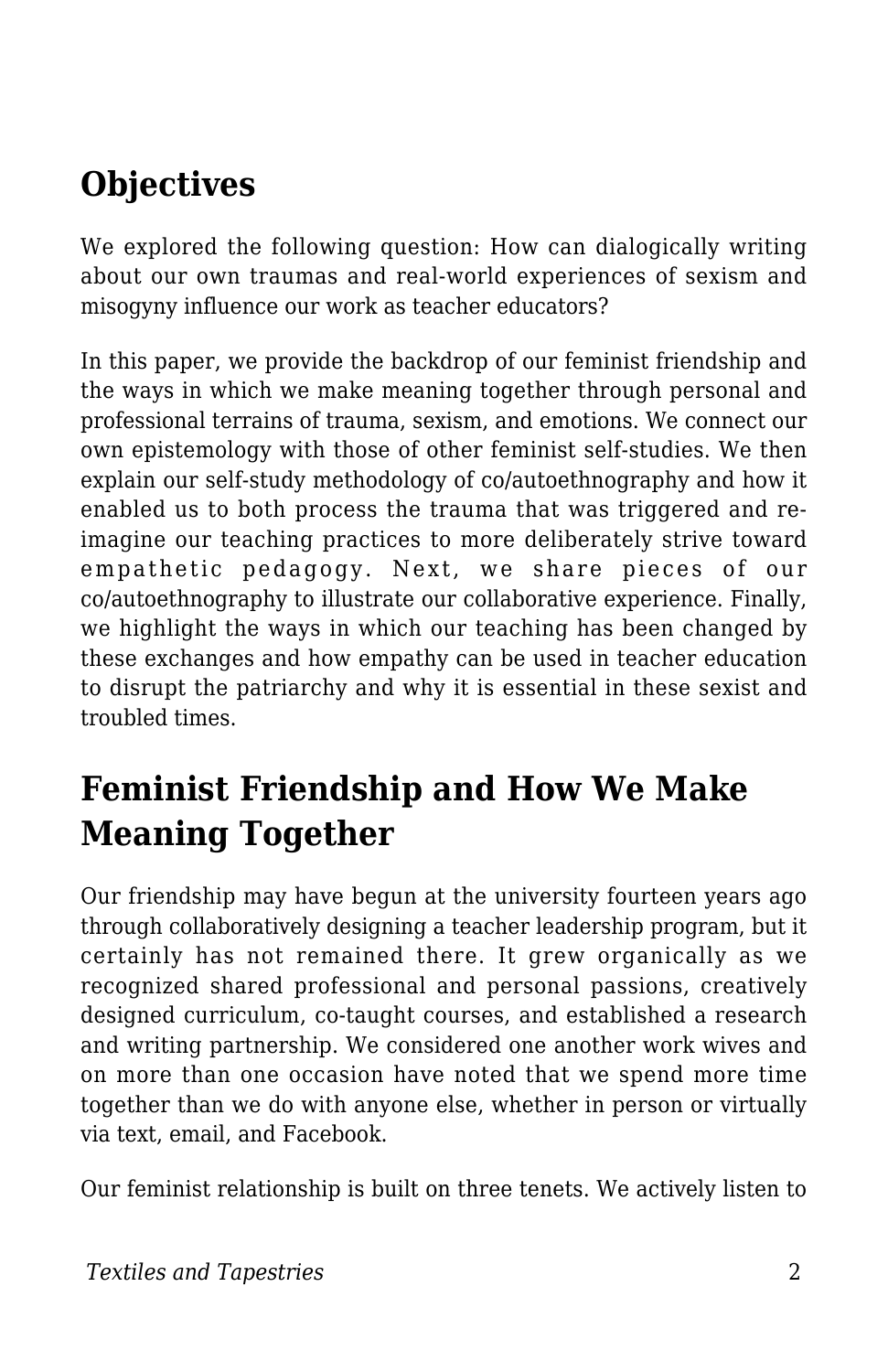## **Objectives**

We explored the following question: How can dialogically writing about our own traumas and real-world experiences of sexism and misogyny influence our work as teacher educators?

In this paper, we provide the backdrop of our feminist friendship and the ways in which we make meaning together through personal and professional terrains of trauma, sexism, and emotions. We connect our own epistemology with those of other feminist self-studies. We then explain our self-study methodology of co/autoethnography and how it enabled us to both process the trauma that was triggered and reimagine our teaching practices to more deliberately strive toward empathetic pedagogy. Next, we share pieces of our co/autoethnography to illustrate our collaborative experience. Finally, we highlight the ways in which our teaching has been changed by these exchanges and how empathy can be used in teacher education to disrupt the patriarchy and why it is essential in these sexist and troubled times.

### **Feminist Friendship and How We Make Meaning Together**

Our friendship may have begun at the university fourteen years ago through collaboratively designing a teacher leadership program, but it certainly has not remained there. It grew organically as we recognized shared professional and personal passions, creatively designed curriculum, co-taught courses, and established a research and writing partnership. We considered one another work wives and on more than one occasion have noted that we spend more time together than we do with anyone else, whether in person or virtually via text, email, and Facebook.

Our feminist relationship is built on three tenets. We actively listen to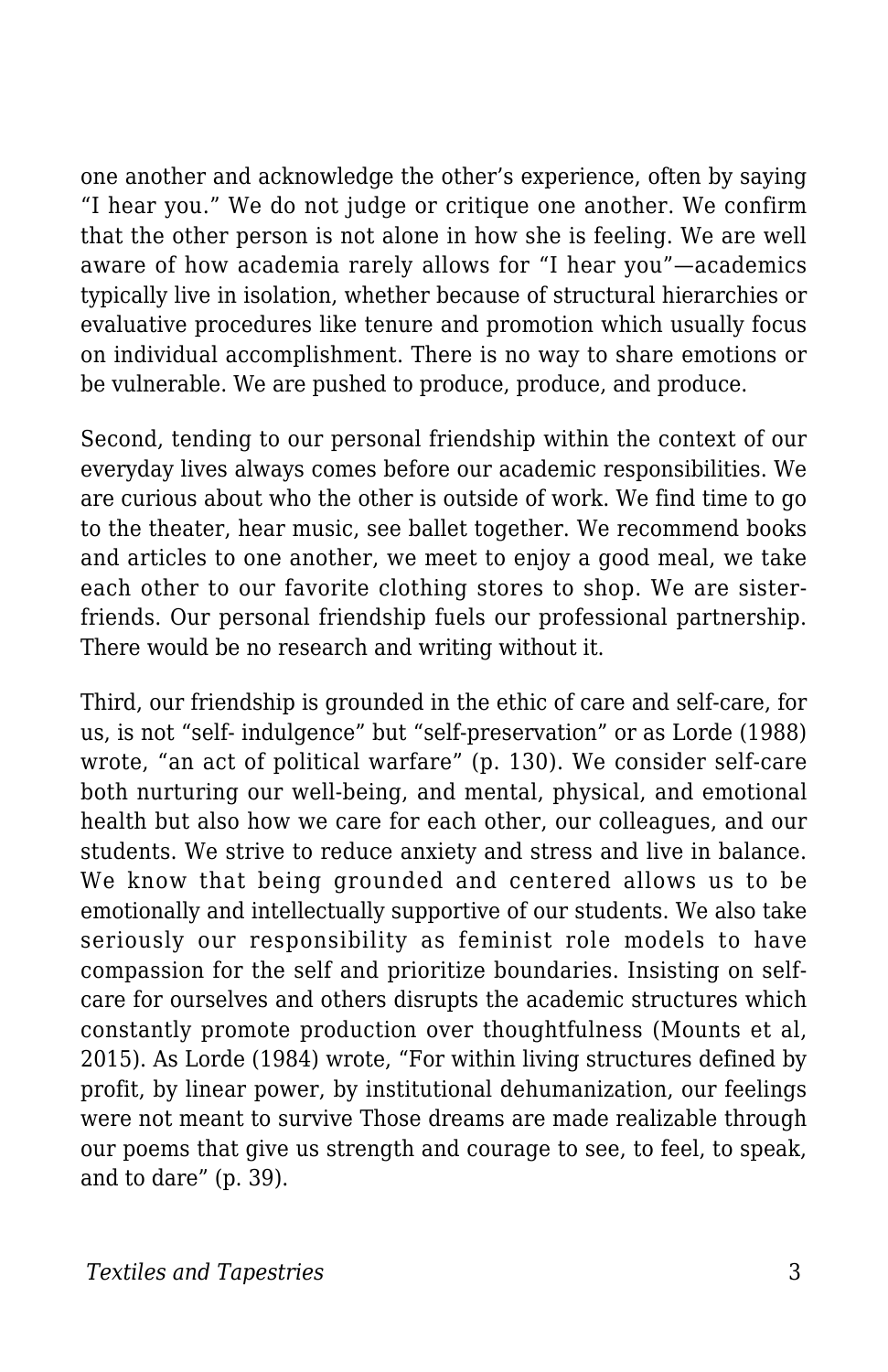one another and acknowledge the other's experience, often by saying "I hear you." We do not judge or critique one another. We confirm that the other person is not alone in how she is feeling. We are well aware of how academia rarely allows for "I hear you"—academics typically live in isolation, whether because of structural hierarchies or evaluative procedures like tenure and promotion which usually focus on individual accomplishment. There is no way to share emotions or be vulnerable. We are pushed to produce, produce, and produce.

Second, tending to our personal friendship within the context of our everyday lives always comes before our academic responsibilities. We are curious about who the other is outside of work. We find time to go to the theater, hear music, see ballet together. We recommend books and articles to one another, we meet to enjoy a good meal, we take each other to our favorite clothing stores to shop. We are sisterfriends. Our personal friendship fuels our professional partnership. There would be no research and writing without it.

Third, our friendship is grounded in the ethic of care and self-care, for us, is not "self- indulgence" but "self-preservation" or as Lorde (1988) wrote, "an act of political warfare" (p. 130). We consider self-care both nurturing our well-being, and mental, physical, and emotional health but also how we care for each other, our colleagues, and our students. We strive to reduce anxiety and stress and live in balance. We know that being grounded and centered allows us to be emotionally and intellectually supportive of our students. We also take seriously our responsibility as feminist role models to have compassion for the self and prioritize boundaries. Insisting on selfcare for ourselves and others disrupts the academic structures which constantly promote production over thoughtfulness (Mounts et al, 2015). As Lorde (1984) wrote, "For within living structures defined by profit, by linear power, by institutional dehumanization, our feelings were not meant to survive Those dreams are made realizable through our poems that give us strength and courage to see, to feel, to speak, and to dare" (p. 39).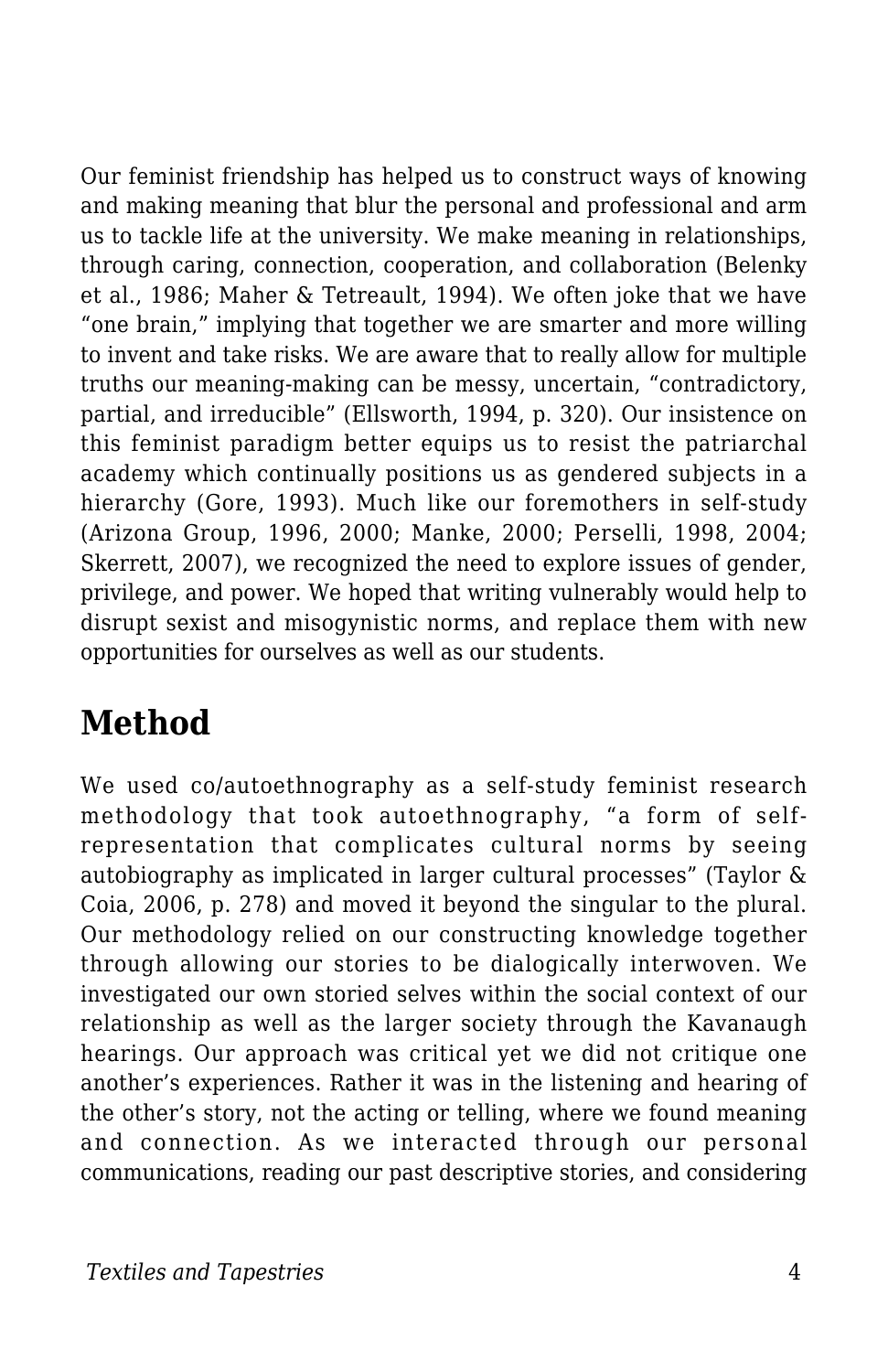Our feminist friendship has helped us to construct ways of knowing and making meaning that blur the personal and professional and arm us to tackle life at the university. We make meaning in relationships, through caring, connection, cooperation, and collaboration (Belenky et al., 1986; Maher & Tetreault, 1994). We often joke that we have "one brain," implying that together we are smarter and more willing to invent and take risks. We are aware that to really allow for multiple truths our meaning-making can be messy, uncertain, "contradictory, partial, and irreducible" (Ellsworth, 1994, p. 320). Our insistence on this feminist paradigm better equips us to resist the patriarchal academy which continually positions us as gendered subjects in a hierarchy (Gore, 1993). Much like our foremothers in self-study (Arizona Group, 1996, 2000; Manke, 2000; Perselli, 1998, 2004; Skerrett, 2007), we recognized the need to explore issues of gender, privilege, and power. We hoped that writing vulnerably would help to disrupt sexist and misogynistic norms, and replace them with new opportunities for ourselves as well as our students.

### **Method**

We used co/autoethnography as a self-study feminist research methodology that took autoethnography, "a form of selfrepresentation that complicates cultural norms by seeing autobiography as implicated in larger cultural processes" (Taylor & Coia, 2006, p. 278) and moved it beyond the singular to the plural. Our methodology relied on our constructing knowledge together through allowing our stories to be dialogically interwoven. We investigated our own storied selves within the social context of our relationship as well as the larger society through the Kavanaugh hearings. Our approach was critical yet we did not critique one another's experiences. Rather it was in the listening and hearing of the other's story, not the acting or telling, where we found meaning and connection. As we interacted through our personal communications, reading our past descriptive stories, and considering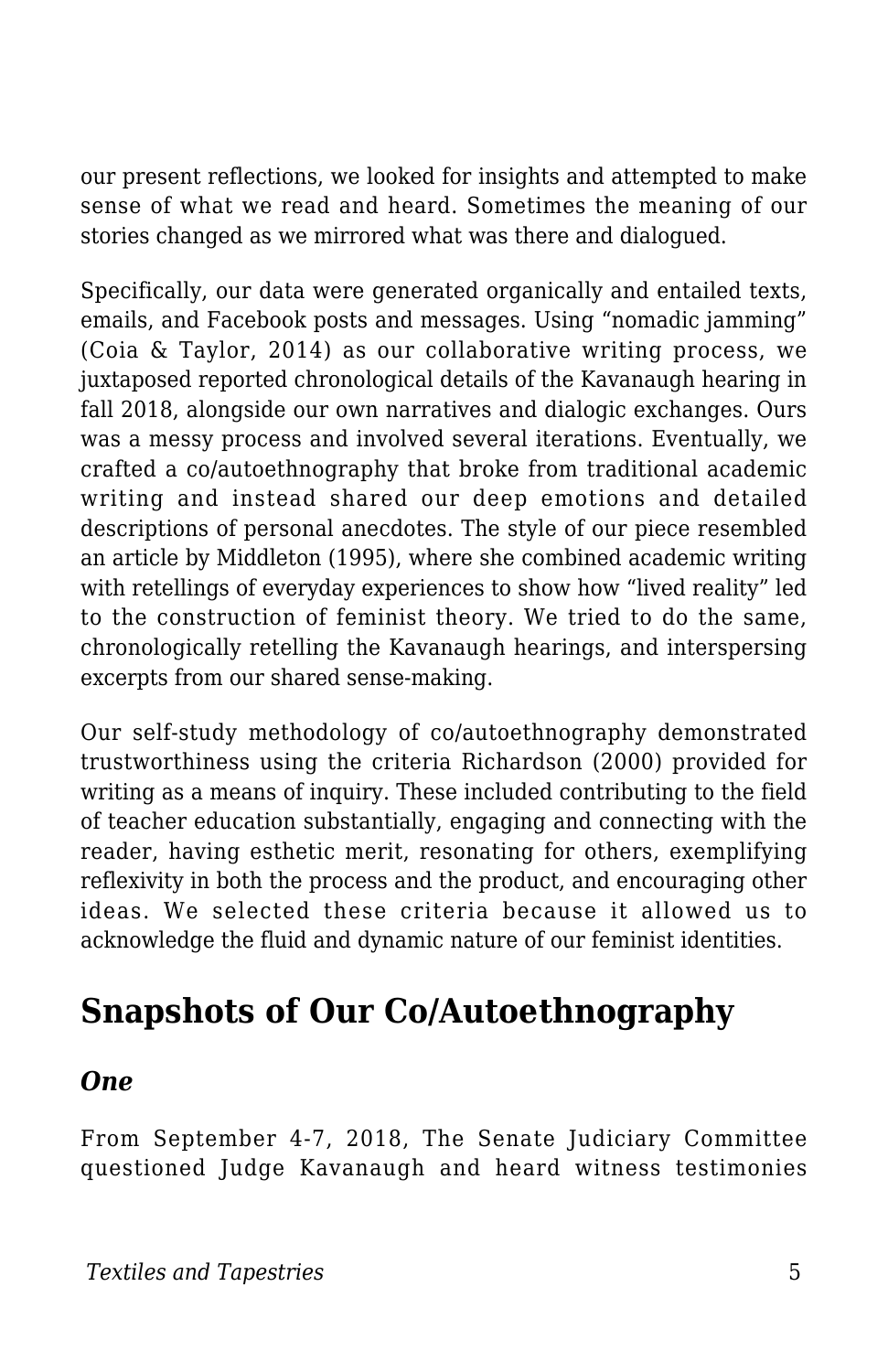our present reflections, we looked for insights and attempted to make sense of what we read and heard. Sometimes the meaning of our stories changed as we mirrored what was there and dialogued.

Specifically, our data were generated organically and entailed texts, emails, and Facebook posts and messages. Using "nomadic jamming" (Coia & Taylor, 2014) as our collaborative writing process, we juxtaposed reported chronological details of the Kavanaugh hearing in fall 2018, alongside our own narratives and dialogic exchanges. Ours was a messy process and involved several iterations. Eventually, we crafted a co/autoethnography that broke from traditional academic writing and instead shared our deep emotions and detailed descriptions of personal anecdotes. The style of our piece resembled an article by Middleton (1995), where she combined academic writing with retellings of everyday experiences to show how "lived reality" led to the construction of feminist theory. We tried to do the same, chronologically retelling the Kavanaugh hearings, and interspersing excerpts from our shared sense-making.

Our self-study methodology of co/autoethnography demonstrated trustworthiness using the criteria Richardson (2000) provided for writing as a means of inquiry. These included contributing to the field of teacher education substantially, engaging and connecting with the reader, having esthetic merit, resonating for others, exemplifying reflexivity in both the process and the product, and encouraging other ideas. We selected these criteria because it allowed us to acknowledge the fluid and dynamic nature of our feminist identities.

### **Snapshots of Our Co/Autoethnography**

#### *One*

From September 4-7, 2018, The Senate Judiciary Committee questioned Judge Kavanaugh and heard witness testimonies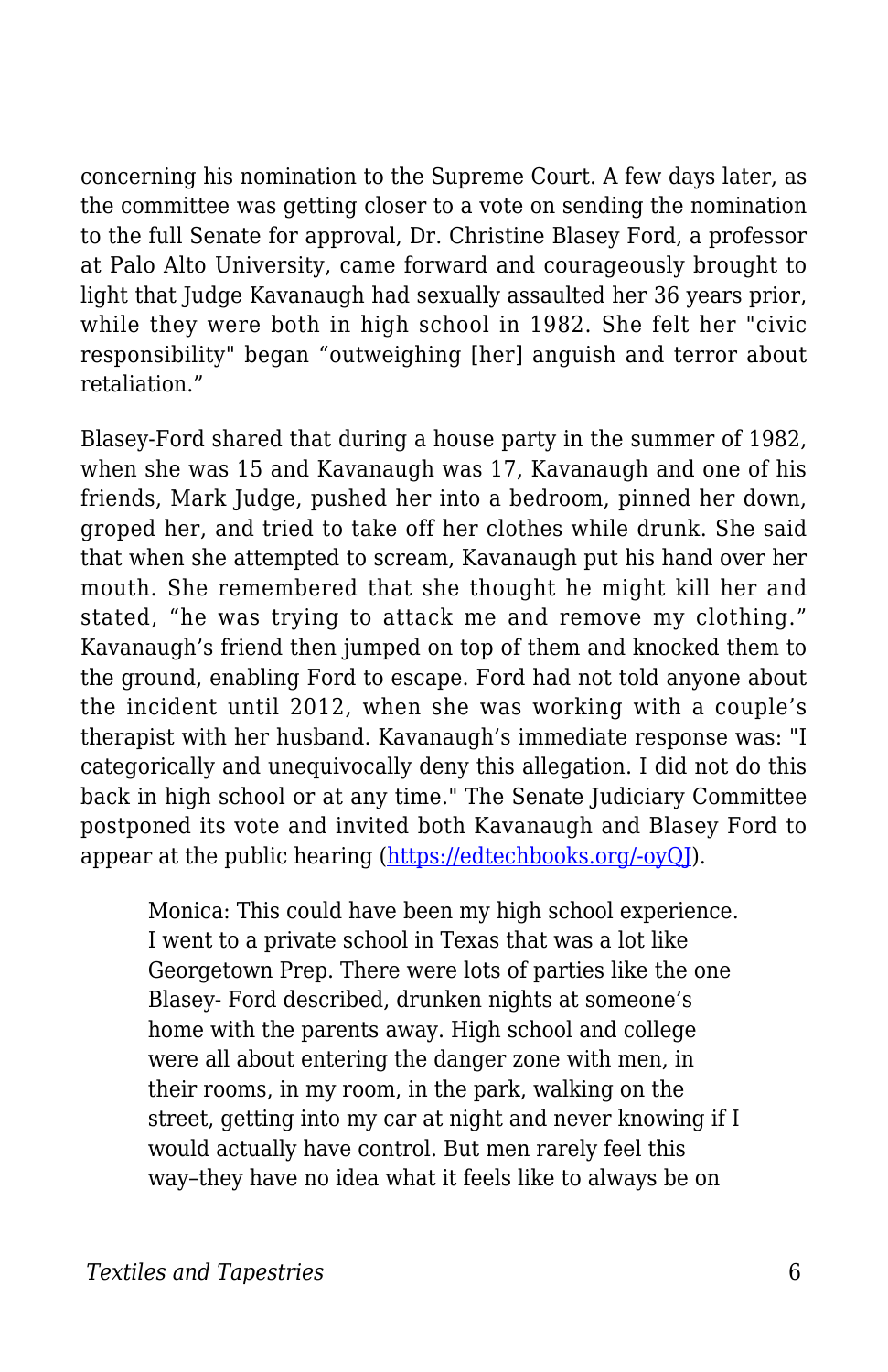concerning his nomination to the Supreme Court. A few days later, as the committee was getting closer to a vote on sending the nomination to the full Senate for approval, Dr. Christine Blasey Ford, a professor at Palo Alto University, came forward and courageously brought to light that Judge Kavanaugh had sexually assaulted her 36 years prior, while they were both in high school in 1982. She felt her "civic responsibility" began "outweighing [her] anguish and terror about retaliation."

Blasey-Ford shared that during a house party in the summer of 1982, when she was 15 and Kavanaugh was 17, Kavanaugh and one of his friends, Mark Judge, pushed her into a bedroom, pinned her down, groped her, and tried to take off her clothes while drunk. She said that when she attempted to scream, Kavanaugh put his hand over her mouth. She remembered that she thought he might kill her and stated, "he was trying to attack me and remove my clothing." Kavanaugh's friend then jumped on top of them and knocked them to the ground, enabling Ford to escape. Ford had not told anyone about the incident until 2012, when she was working with a couple's therapist with her husband. Kavanaugh's immediate response was: "I categorically and unequivocally deny this allegation. I did not do this back in high school or at any time." The Senate Judiciary Committee postponed its vote and invited both Kavanaugh and Blasey Ford to appear at the public hearing ([https://edtechbooks.org/-oyQJ\)](https://www.washingtonpost.com/investigations/california-professor-writer-of-confidential-%20brett-kavanaugh-letter-speaks-out-about-her-allegation-of-sexual-assault/2018/09/16/46982194-%20b846-11e8-94eb-3bd52dfe917b_story.html?utm_term=.bfa992a09f67).

Monica: This could have been my high school experience. I went to a private school in Texas that was a lot like Georgetown Prep. There were lots of parties like the one Blasey- Ford described, drunken nights at someone's home with the parents away. High school and college were all about entering the danger zone with men, in their rooms, in my room, in the park, walking on the street, getting into my car at night and never knowing if I would actually have control. But men rarely feel this way–they have no idea what it feels like to always be on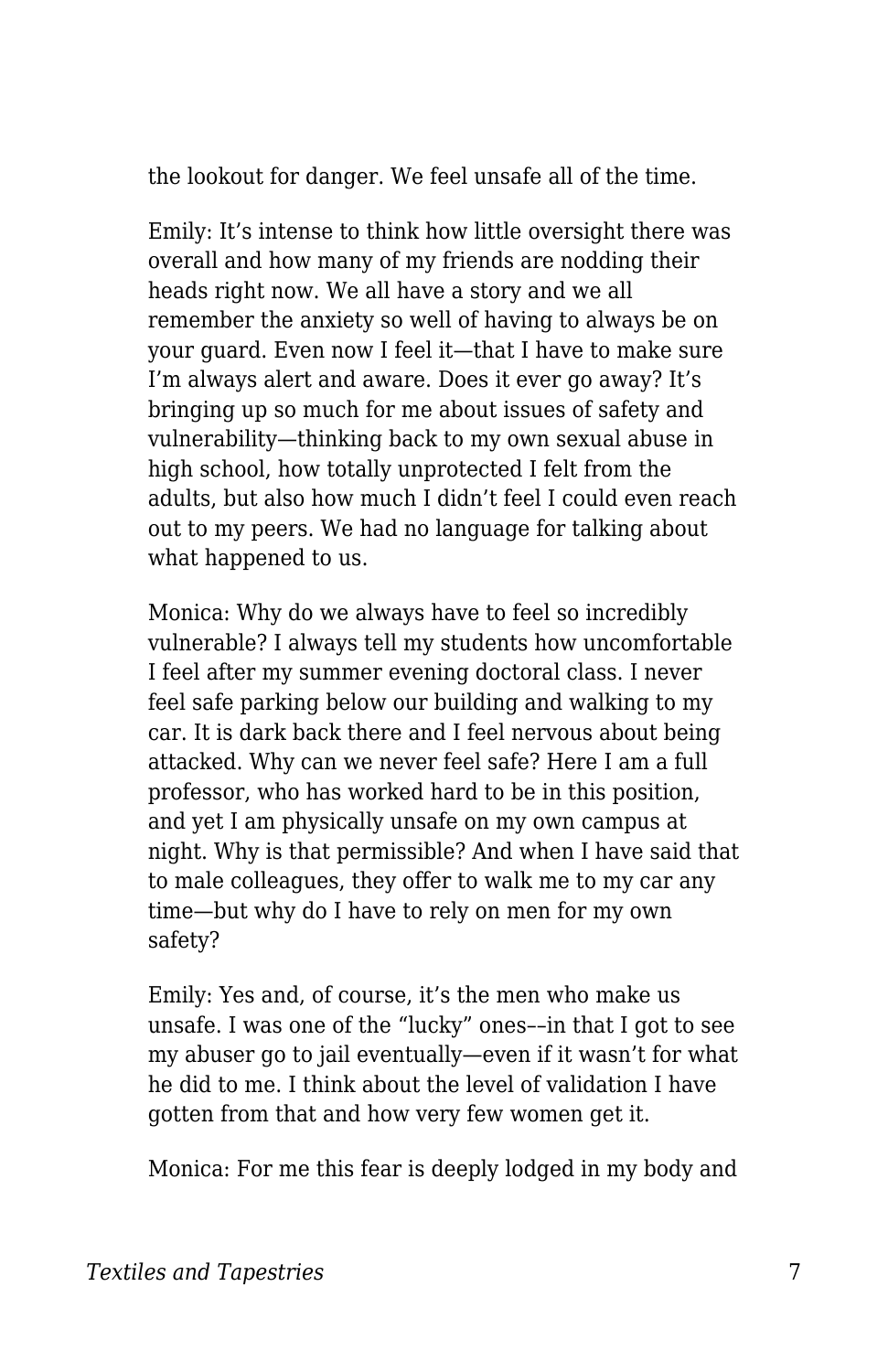the lookout for danger. We feel unsafe all of the time.

Emily: It's intense to think how little oversight there was overall and how many of my friends are nodding their heads right now. We all have a story and we all remember the anxiety so well of having to always be on your guard. Even now I feel it—that I have to make sure I'm always alert and aware. Does it ever go away? It's bringing up so much for me about issues of safety and vulnerability—thinking back to my own sexual abuse in high school, how totally unprotected I felt from the adults, but also how much I didn't feel I could even reach out to my peers. We had no language for talking about what happened to us.

Monica: Why do we always have to feel so incredibly vulnerable? I always tell my students how uncomfortable I feel after my summer evening doctoral class. I never feel safe parking below our building and walking to my car. It is dark back there and I feel nervous about being attacked. Why can we never feel safe? Here I am a full professor, who has worked hard to be in this position, and yet I am physically unsafe on my own campus at night. Why is that permissible? And when I have said that to male colleagues, they offer to walk me to my car any time—but why do I have to rely on men for my own safety?

Emily: Yes and, of course, it's the men who make us unsafe. I was one of the "lucky" ones––in that I got to see my abuser go to jail eventually—even if it wasn't for what he did to me. I think about the level of validation I have gotten from that and how very few women get it.

Monica: For me this fear is deeply lodged in my body and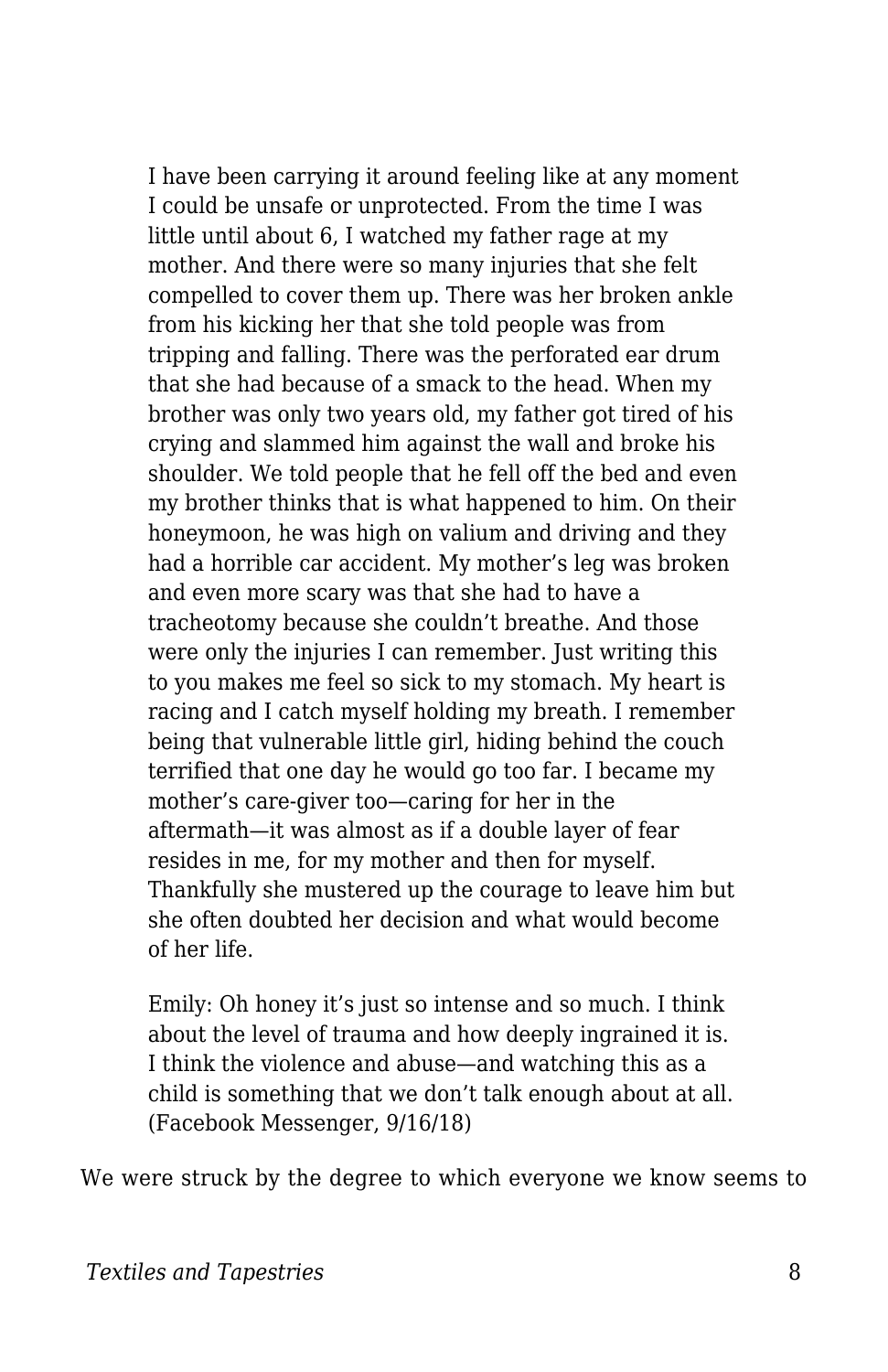I have been carrying it around feeling like at any moment I could be unsafe or unprotected. From the time I was little until about 6, I watched my father rage at my mother. And there were so many injuries that she felt compelled to cover them up. There was her broken ankle from his kicking her that she told people was from tripping and falling. There was the perforated ear drum that she had because of a smack to the head. When my brother was only two years old, my father got tired of his crying and slammed him against the wall and broke his shoulder. We told people that he fell off the bed and even my brother thinks that is what happened to him. On their honeymoon, he was high on valium and driving and they had a horrible car accident. My mother's leg was broken and even more scary was that she had to have a tracheotomy because she couldn't breathe. And those were only the injuries I can remember. Just writing this to you makes me feel so sick to my stomach. My heart is racing and I catch myself holding my breath. I remember being that vulnerable little girl, hiding behind the couch terrified that one day he would go too far. I became my mother's care-giver too—caring for her in the aftermath—it was almost as if a double layer of fear resides in me, for my mother and then for myself. Thankfully she mustered up the courage to leave him but she often doubted her decision and what would become of her life.

Emily: Oh honey it's just so intense and so much. I think about the level of trauma and how deeply ingrained it is. I think the violence and abuse—and watching this as a child is something that we don't talk enough about at all. (Facebook Messenger, 9/16/18)

We were struck by the degree to which everyone we know seems to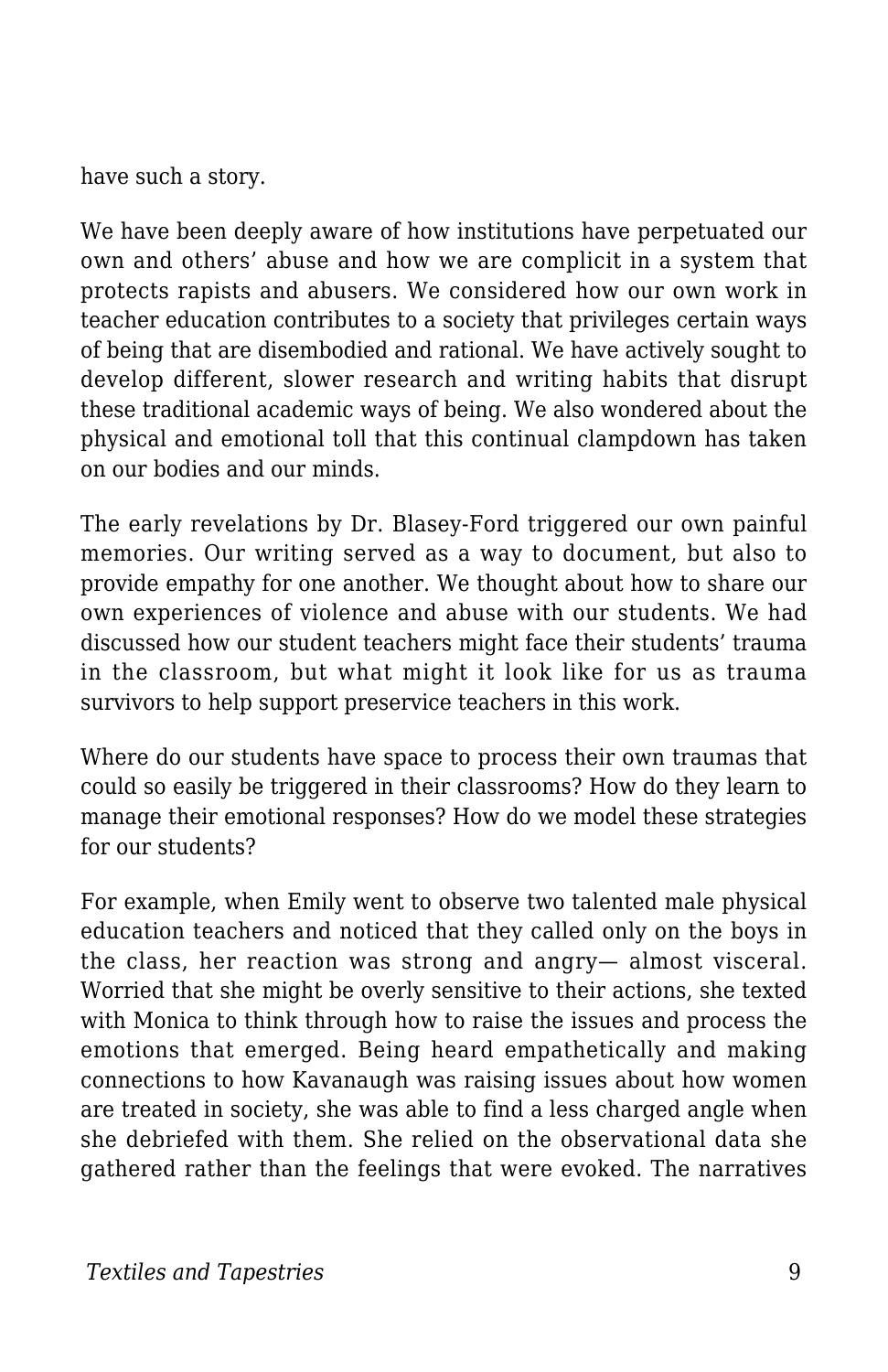have such a story.

We have been deeply aware of how institutions have perpetuated our own and others' abuse and how we are complicit in a system that protects rapists and abusers. We considered how our own work in teacher education contributes to a society that privileges certain ways of being that are disembodied and rational. We have actively sought to develop different, slower research and writing habits that disrupt these traditional academic ways of being. We also wondered about the physical and emotional toll that this continual clampdown has taken on our bodies and our minds.

The early revelations by Dr. Blasey-Ford triggered our own painful memories. Our writing served as a way to document, but also to provide empathy for one another. We thought about how to share our own experiences of violence and abuse with our students. We had discussed how our student teachers might face their students' trauma in the classroom, but what might it look like for us as trauma survivors to help support preservice teachers in this work.

Where do our students have space to process their own traumas that could so easily be triggered in their classrooms? How do they learn to manage their emotional responses? How do we model these strategies for our students?

For example, when Emily went to observe two talented male physical education teachers and noticed that they called only on the boys in the class, her reaction was strong and angry— almost visceral. Worried that she might be overly sensitive to their actions, she texted with Monica to think through how to raise the issues and process the emotions that emerged. Being heard empathetically and making connections to how Kavanaugh was raising issues about how women are treated in society, she was able to find a less charged angle when she debriefed with them. She relied on the observational data she gathered rather than the feelings that were evoked. The narratives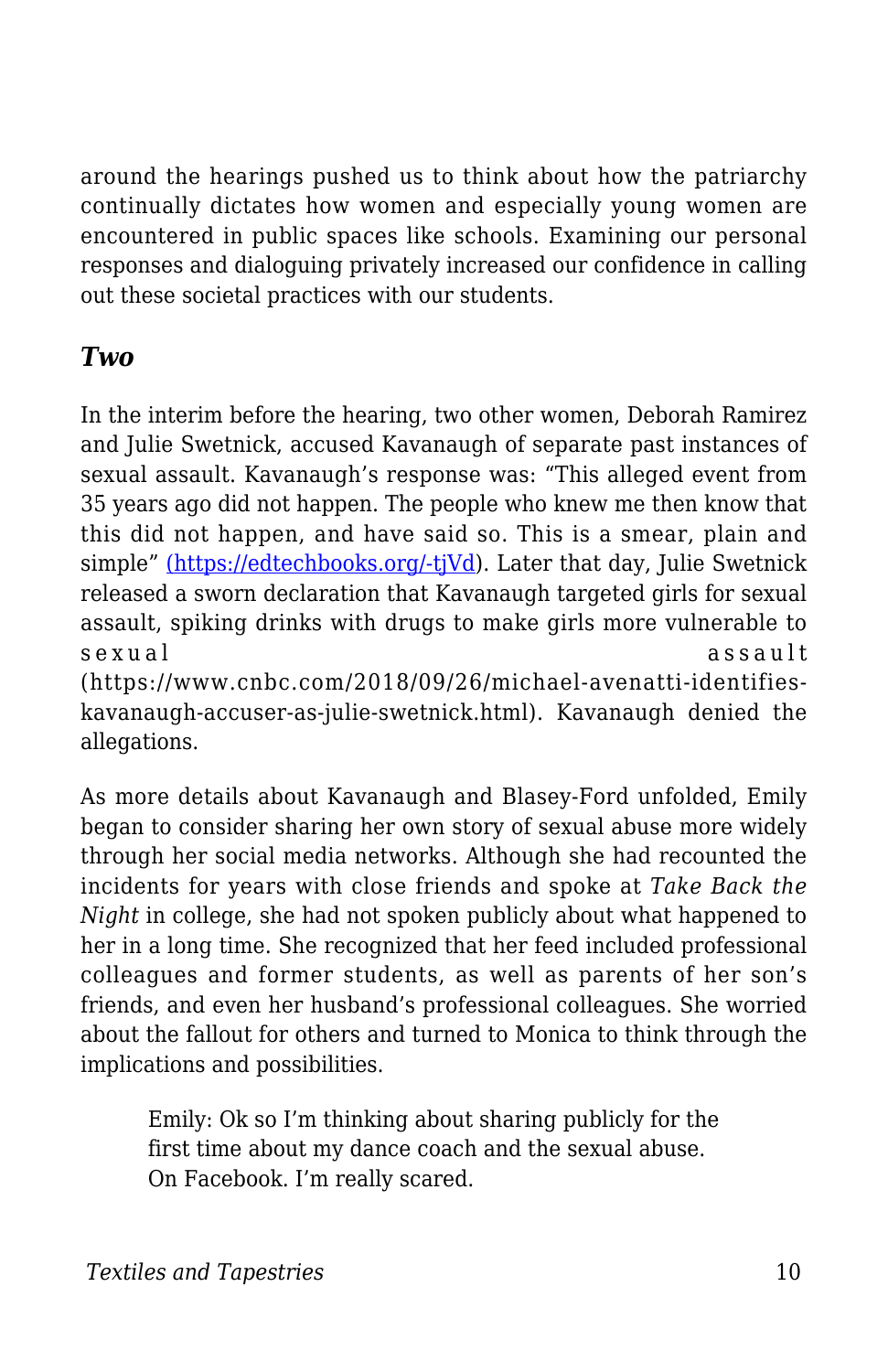around the hearings pushed us to think about how the patriarchy continually dictates how women and especially young women are encountered in public spaces like schools. Examining our personal responses and dialoguing privately increased our confidence in calling out these societal practices with our students.

#### *Two*

In the interim before the hearing, two other women, Deborah Ramirez and Julie Swetnick, accused Kavanaugh of separate past instances of sexual assault. Kavanaugh's response was: "This alleged event from 35 years ago did not happen. The people who knew me then know that this did not happen, and have said so. This is a smear, plain and simple" [\(](https://www.whitehouse.gov/briefings-statements/need-know-allegations-made-new-yorker-article-judge-brett-kavanaugh/))[https://edtechbooks.org/-tjVd](https://www.whitehouse.gov/briefings-statements/need-know-allegations-made-new-yorker-%20article-judge-brett-kavanaugh/)). Later that day, Julie Swetnick released a sworn declaration that Kavanaugh targeted girls for sexual assault, spiking drinks with drugs to make girls more vulnerable to sexual assault

(https://www.cnbc.com/2018/09/26/michael-avenatti-identifieskavanaugh-accuser-as-julie-swetnick.html). Kavanaugh denied the allegations.

As more details about Kavanaugh and Blasey-Ford unfolded, Emily began to consider sharing her own story of sexual abuse more widely through her social media networks. Although she had recounted the incidents for years with close friends and spoke at *Take Back the Night* in college, she had not spoken publicly about what happened to her in a long time. She recognized that her feed included professional colleagues and former students, as well as parents of her son's friends, and even her husband's professional colleagues. She worried about the fallout for others and turned to Monica to think through the implications and possibilities.

Emily: Ok so I'm thinking about sharing publicly for the first time about my dance coach and the sexual abuse. On Facebook. I'm really scared.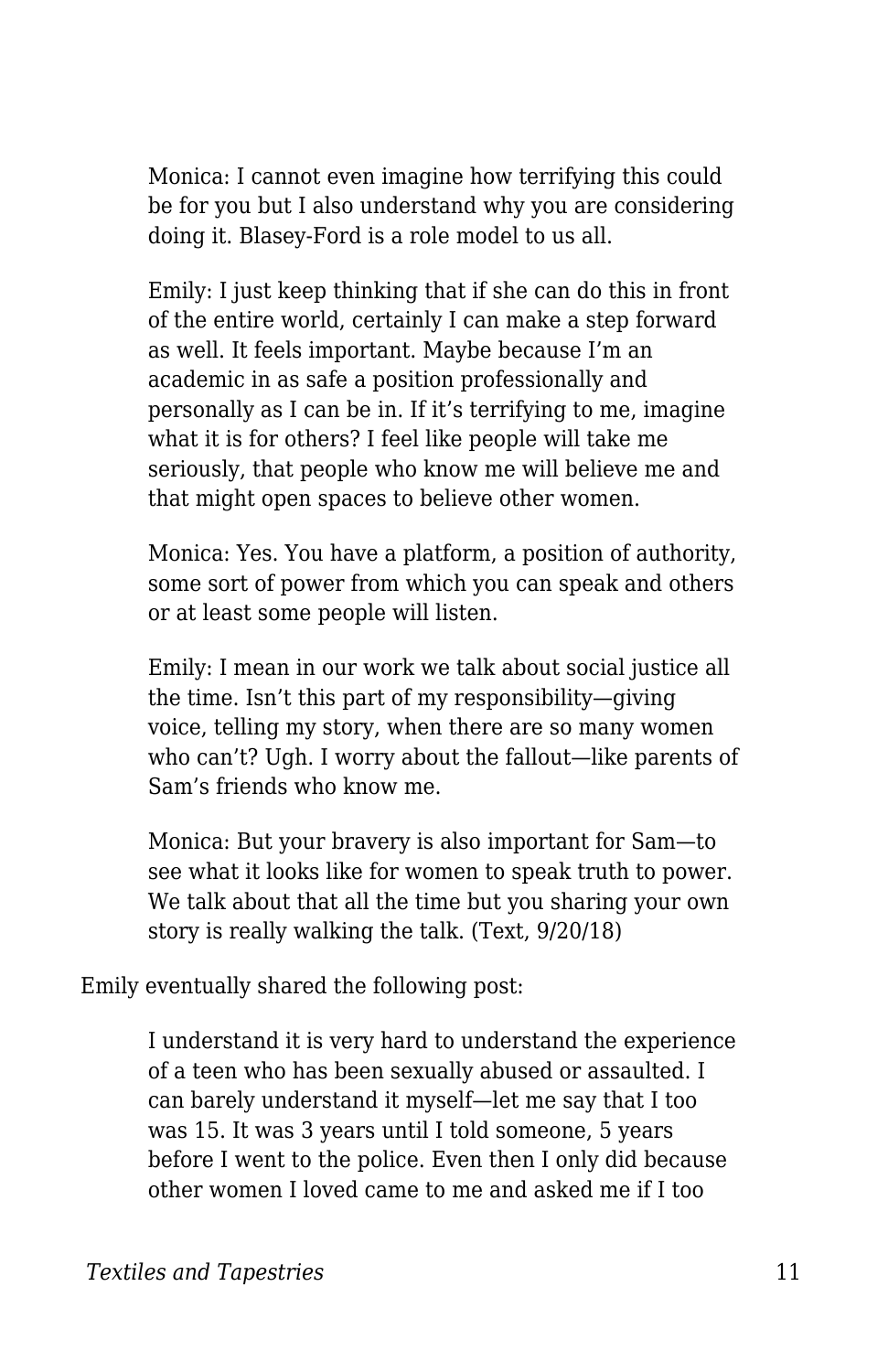Monica: I cannot even imagine how terrifying this could be for you but I also understand why you are considering doing it. Blasey-Ford is a role model to us all.

Emily: I just keep thinking that if she can do this in front of the entire world, certainly I can make a step forward as well. It feels important. Maybe because I'm an academic in as safe a position professionally and personally as I can be in. If it's terrifying to me, imagine what it is for others? I feel like people will take me seriously, that people who know me will believe me and that might open spaces to believe other women.

Monica: Yes. You have a platform, a position of authority, some sort of power from which you can speak and others or at least some people will listen.

Emily: I mean in our work we talk about social justice all the time. Isn't this part of my responsibility—giving voice, telling my story, when there are so many women who can't? Ugh. I worry about the fallout—like parents of Sam's friends who know me.

Monica: But your bravery is also important for Sam—to see what it looks like for women to speak truth to power. We talk about that all the time but you sharing your own story is really walking the talk. (Text, 9/20/18)

Emily eventually shared the following post:

I understand it is very hard to understand the experience of a teen who has been sexually abused or assaulted. I can barely understand it myself—let me say that I too was 15. It was 3 years until I told someone, 5 years before I went to the police. Even then I only did because other women I loved came to me and asked me if I too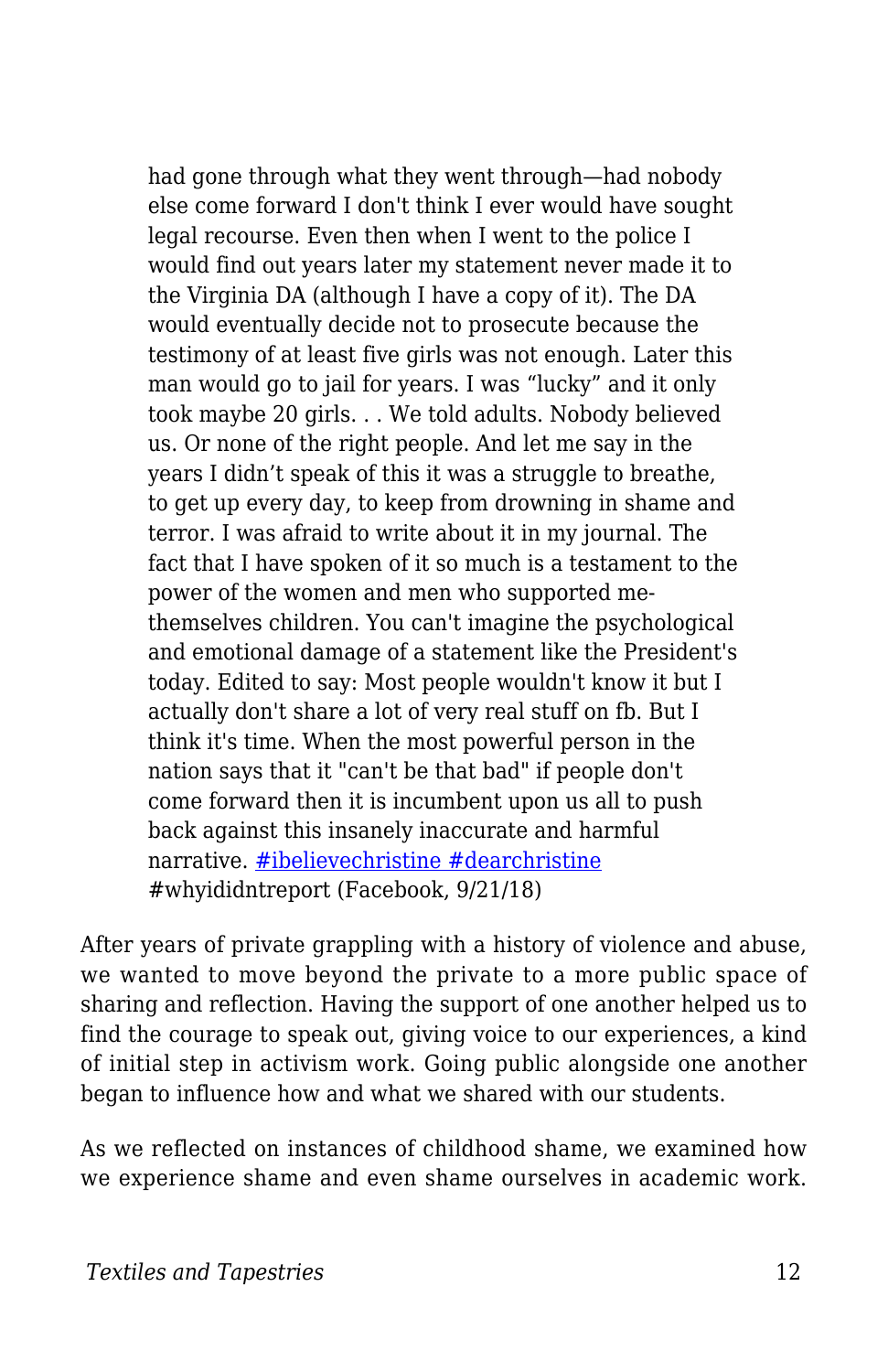had gone through what they went through—had nobody else come forward I don't think I ever would have sought legal recourse. Even then when I went to the police I would find out years later my statement never made it to the Virginia DA (although I have a copy of it). The DA would eventually decide not to prosecute because the testimony of at least five girls was not enough. Later this man would go to jail for years. I was "lucky" and it only took maybe 20 girls. . . We told adults. Nobody believed us. Or none of the right people. And let me say in the years I didn't speak of this it was a struggle to breathe, to get up every day, to keep from drowning in shame and terror. I was afraid to write about it in my journal. The fact that I have spoken of it so much is a testament to the power of the women and men who supported methemselves children. You can't imagine the psychological and emotional damage of a statement like the President's today. Edited to say: Most people wouldn't know it but I actually don't share a lot of very real stuff on fb. But I think it's time. When the most powerful person in the nation says that it "can't be that bad" if people don't come forward then it is incumbent upon us all to push back against this insanely inaccurate and harmful narrative. [#ibelievechristine](https://www.facebook.com/hashtag/dearchristine?source=feed_text&epa=HASHTAG) [#dearchristine](https://www.facebook.com/hashtag/whyididntreport?source=feed_text&epa=HASHTAG) #whyididntreport (Facebook, 9/21/18)

After years of private grappling with a history of violence and abuse, we wanted to move beyond the private to a more public space of sharing and reflection. Having the support of one another helped us to find the courage to speak out, giving voice to our experiences, a kind of initial step in activism work. Going public alongside one another began to influence how and what we shared with our students.

As we reflected on instances of childhood shame, we examined how we experience shame and even shame ourselves in academic work.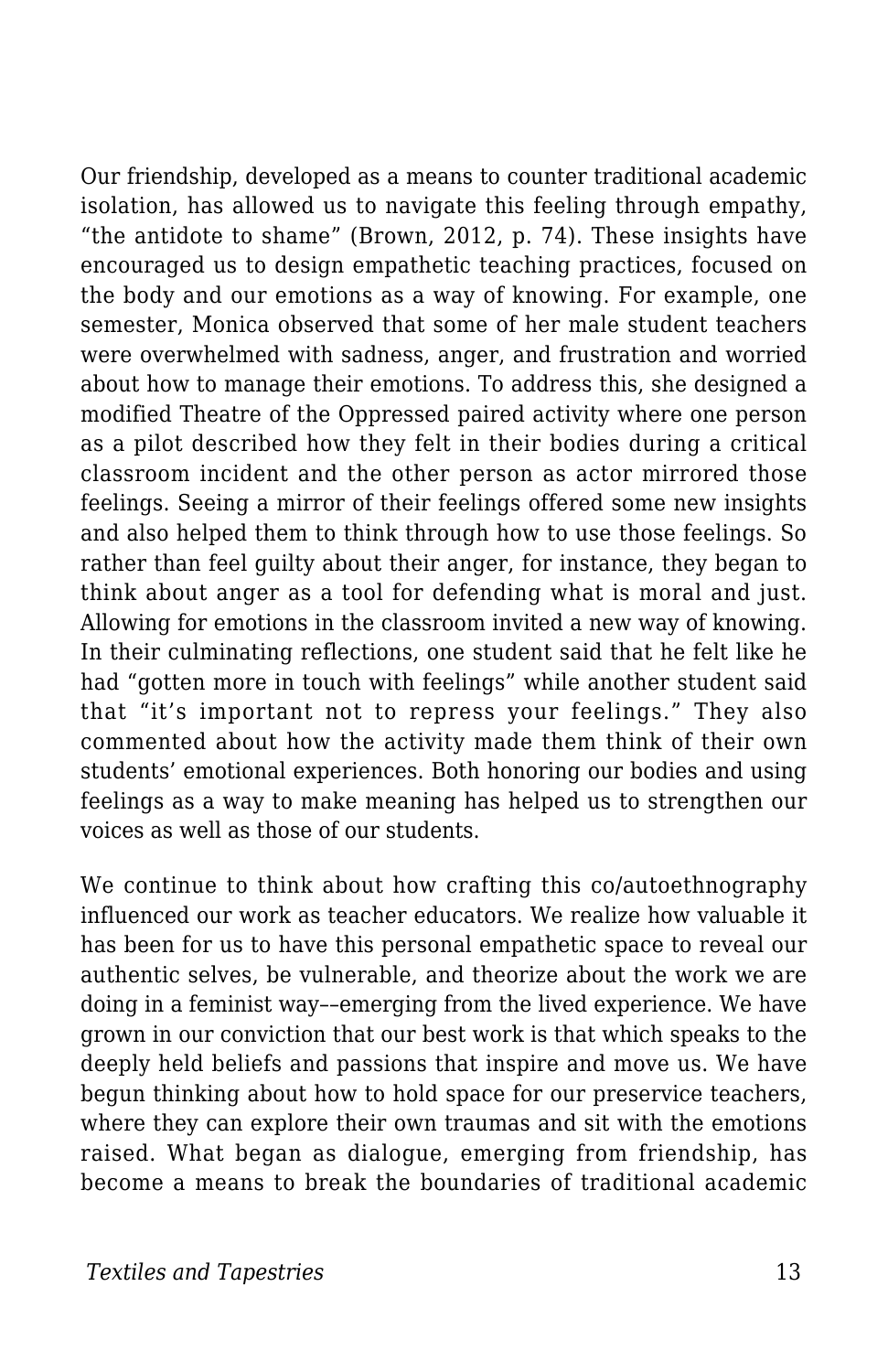Our friendship, developed as a means to counter traditional academic isolation, has allowed us to navigate this feeling through empathy, "the antidote to shame" (Brown, 2012, p. 74). These insights have encouraged us to design empathetic teaching practices, focused on the body and our emotions as a way of knowing. For example, one semester, Monica observed that some of her male student teachers were overwhelmed with sadness, anger, and frustration and worried about how to manage their emotions. To address this, she designed a modified Theatre of the Oppressed paired activity where one person as a pilot described how they felt in their bodies during a critical classroom incident and the other person as actor mirrored those feelings. Seeing a mirror of their feelings offered some new insights and also helped them to think through how to use those feelings. So rather than feel guilty about their anger, for instance, they began to think about anger as a tool for defending what is moral and just. Allowing for emotions in the classroom invited a new way of knowing. In their culminating reflections, one student said that he felt like he had "gotten more in touch with feelings" while another student said that "it's important not to repress your feelings." They also commented about how the activity made them think of their own students' emotional experiences. Both honoring our bodies and using feelings as a way to make meaning has helped us to strengthen our voices as well as those of our students.

We continue to think about how crafting this co/autoethnography influenced our work as teacher educators. We realize how valuable it has been for us to have this personal empathetic space to reveal our authentic selves, be vulnerable, and theorize about the work we are doing in a feminist way––emerging from the lived experience. We have grown in our conviction that our best work is that which speaks to the deeply held beliefs and passions that inspire and move us. We have begun thinking about how to hold space for our preservice teachers, where they can explore their own traumas and sit with the emotions raised. What began as dialogue, emerging from friendship, has become a means to break the boundaries of traditional academic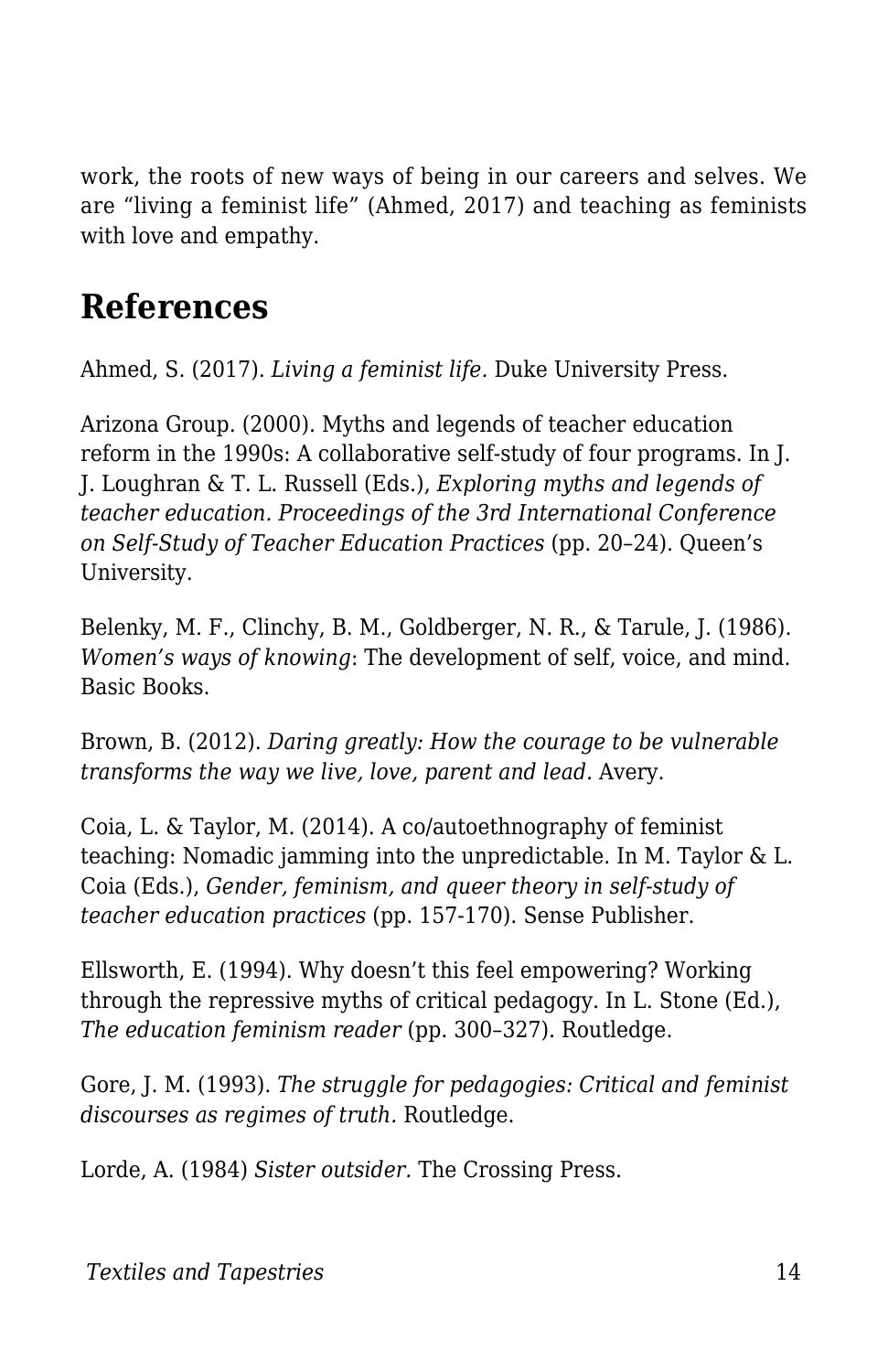work, the roots of new ways of being in our careers and selves. We are "living a feminist life" (Ahmed, 2017) and teaching as feminists with love and empathy.

### **References**

Ahmed, S. (2017). *Living a feminist life.* Duke University Press.

Arizona Group. (2000). Myths and legends of teacher education reform in the 1990s: A collaborative self-study of four programs. In J. J. Loughran & T. L. Russell (Eds.), *Exploring myths and legends of teacher education. Proceedings of the 3rd International Conference on Self-Study of Teacher Education Practices* (pp. 20–24). Queen's University.

Belenky, M. F., Clinchy, B. M., Goldberger, N. R., & Tarule, J. (1986). *Women's ways of knowing*: The development of self, voice, and mind. Basic Books.

Brown, B. (2012). *Daring greatly: How the courage to be vulnerable transforms the way we live, love, parent and lead.* Avery.

Coia, L. & Taylor, M. (2014). A co/autoethnography of feminist teaching: Nomadic jamming into the unpredictable. In M. Taylor & L. Coia (Eds.), *Gender, feminism, and queer theory in self-study of teacher education practices* (pp. 157-170). Sense Publisher.

Ellsworth, E. (1994). Why doesn't this feel empowering? Working through the repressive myths of critical pedagogy. In L. Stone (Ed.), *The education feminism reader* (pp. 300–327). Routledge.

Gore, J. M. (1993). *The struggle for pedagogies: Critical and feminist discourses as regimes of truth.* Routledge.

Lorde, A. (1984) *Sister outsider.* The Crossing Press.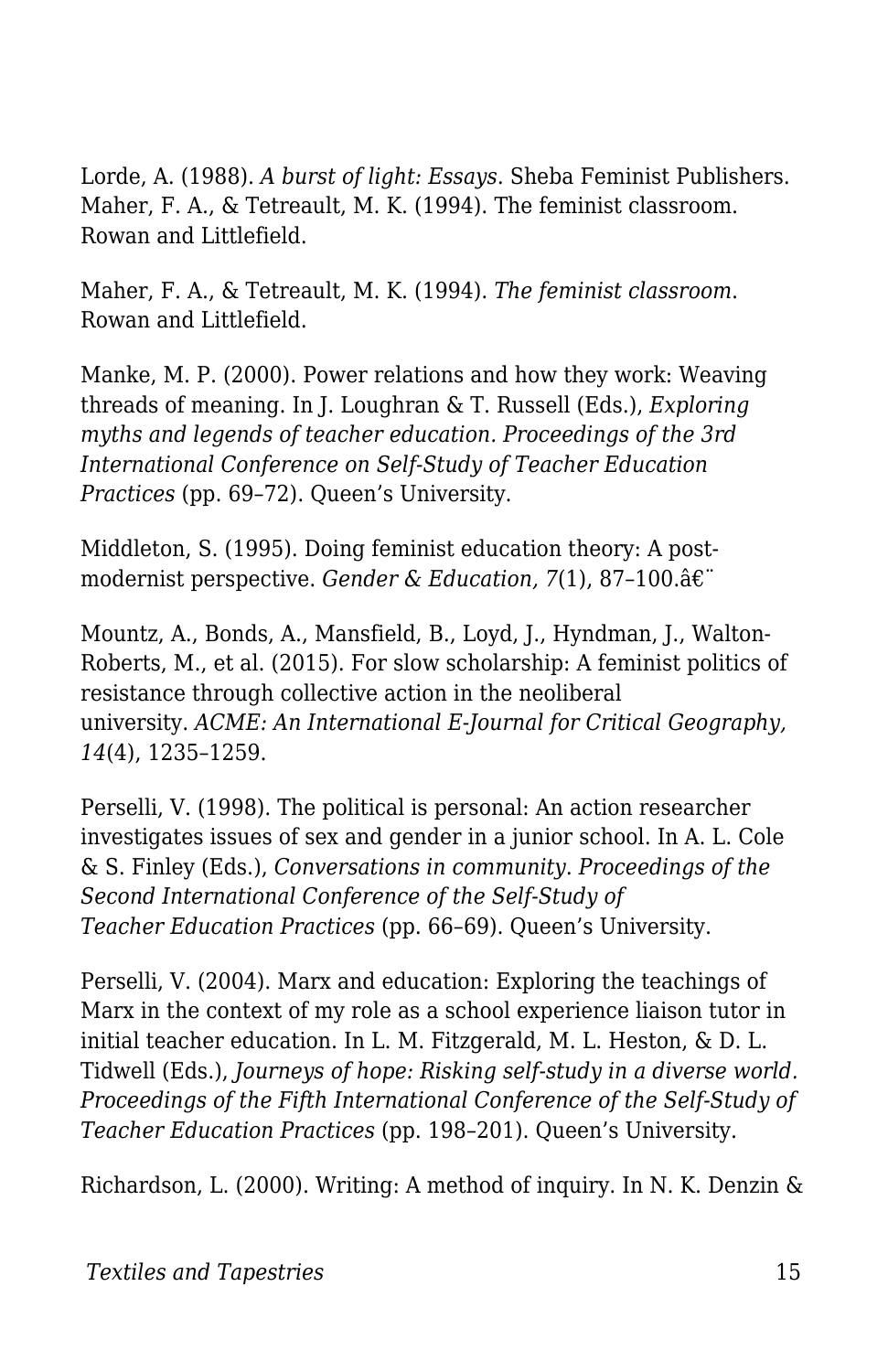Lorde, A. (1988). *A burst of light: Essays*. Sheba Feminist Publishers. Maher, F. A., & Tetreault, M. K. (1994). The feminist classroom. Rowan and Littlefield.

Maher, F. A., & Tetreault, M. K. (1994). *The feminist classroom*. Rowan and Littlefield.

Manke, M. P. (2000). Power relations and how they work: Weaving threads of meaning. In J. Loughran & T. Russell (Eds.), *Exploring myths and legends of teacher education. Proceedings of the 3rd International Conference on Self-Study of Teacher Education Practices* (pp. 69–72). Queen's University.

Middleton, S. (1995). Doing feminist education theory: A postmodernist perspective. *Gender & Education, 7*(1), 87–100.

Mountz, A., Bonds, A., Mansfield, B., Loyd, J., Hyndman, J., Walton-Roberts, M., et al. (2015). For slow scholarship: A feminist politics of resistance through collective action in the neoliberal university. *ACME: An International E-Journal for Critical Geography, 14*(4), 1235–1259.

Perselli, V. (1998). The political is personal: An action researcher investigates issues of sex and gender in a junior school. In A. L. Cole & S. Finley (Eds.), *Conversations in community*. *Proceedings of the Second International Conference of the Self-Study of Teacher Education Practices* (pp. 66–69). Queen's University.

Perselli, V. (2004). Marx and education: Exploring the teachings of Marx in the context of my role as a school experience liaison tutor in initial teacher education. In L. M. Fitzgerald, M. L. Heston, & D. L. Tidwell (Eds.), *Journeys of hope: Risking self-study in a diverse world. Proceedings of the Fifth International Conference of the Self-Study of Teacher Education Practices* (pp. 198–201). Queen's University.

Richardson, L. (2000). Writing: A method of inquiry. In N. K. Denzin &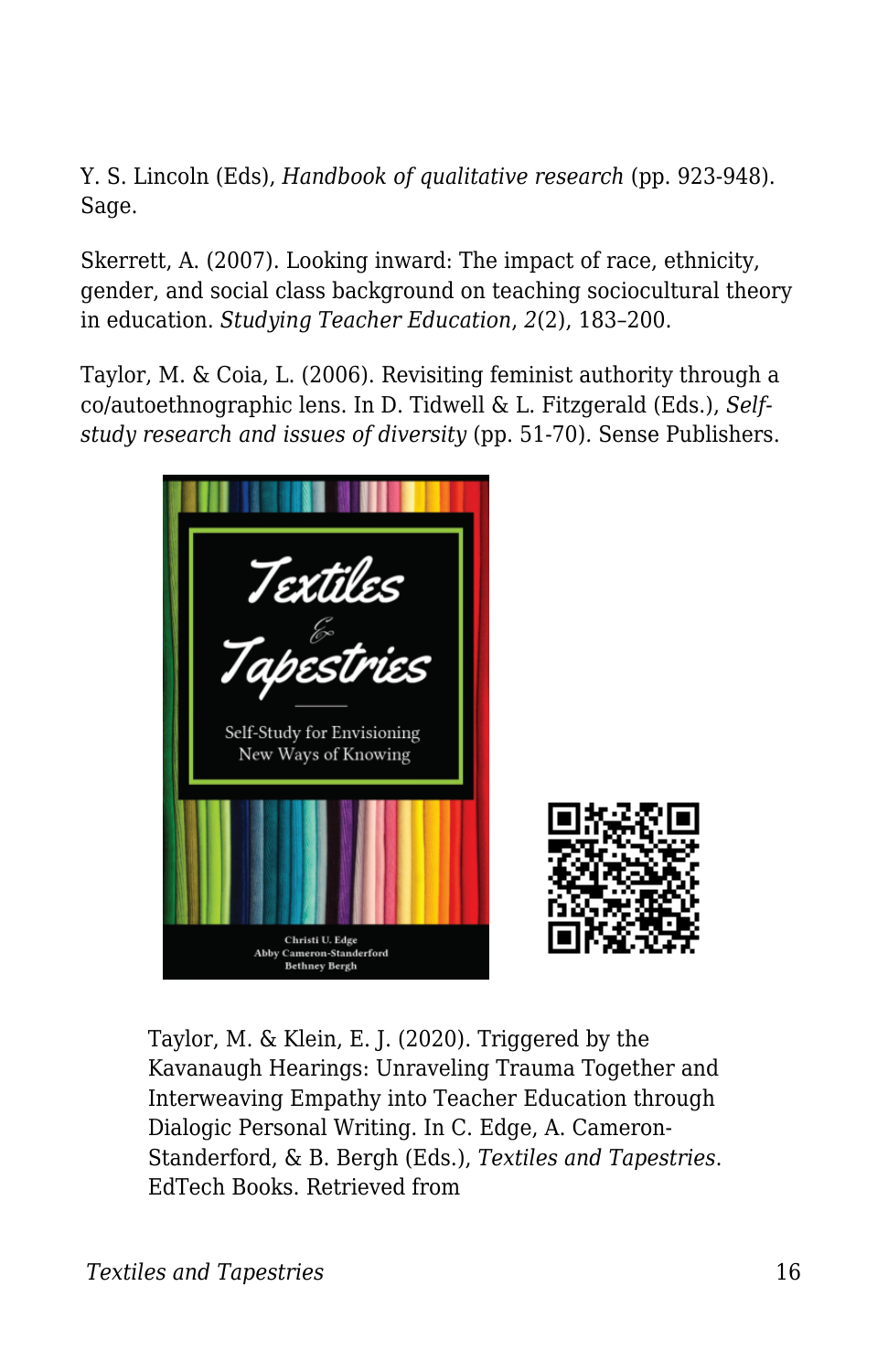Y. S. Lincoln (Eds), *Handbook of qualitative research* (pp. 923-948). Sage.

Skerrett, A. (2007). Looking inward: The impact of race, ethnicity, gender, and social class background on teaching sociocultural theory in education. *Studying Teacher Education*, *2*(2), 183–200.

Taylor, M. & Coia, L. (2006). Revisiting feminist authority through a co/autoethnographic lens. In D. Tidwell & L. Fitzgerald (Eds.), *Selfstudy research and issues of diversity* (pp. 51-70)*.* Sense Publishers.



Taylor, M. & Klein, E. J. (2020). Triggered by the Kavanaugh Hearings: Unraveling Trauma Together and Interweaving Empathy into Teacher Education through Dialogic Personal Writing. In C. Edge, A. Cameron-Standerford, & B. Bergh (Eds.), *Textiles and Tapestries*. EdTech Books. Retrieved from